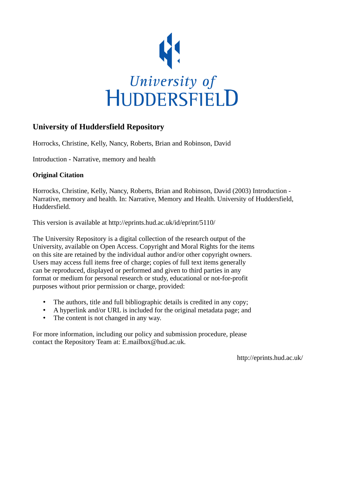

## **University of Huddersfield Repository**

Horrocks, Christine, Kelly, Nancy, Roberts, Brian and Robinson, David

Introduction - Narrative, memory and health

### **Original Citation**

Horrocks, Christine, Kelly, Nancy, Roberts, Brian and Robinson, David (2003) Introduction - Narrative, memory and health. In: Narrative, Memory and Health. University of Huddersfield, Huddersfield.

This version is available at http://eprints.hud.ac.uk/id/eprint/5110/

The University Repository is a digital collection of the research output of the University, available on Open Access. Copyright and Moral Rights for the items on this site are retained by the individual author and/or other copyright owners. Users may access full items free of charge; copies of full text items generally can be reproduced, displayed or performed and given to third parties in any format or medium for personal research or study, educational or not-for-profit purposes without prior permission or charge, provided:

- The authors, title and full bibliographic details is credited in any copy;
- A hyperlink and/or URL is included for the original metadata page; and
- The content is not changed in any way.

For more information, including our policy and submission procedure, please contact the Repository Team at: E.mailbox@hud.ac.uk.

http://eprints.hud.ac.uk/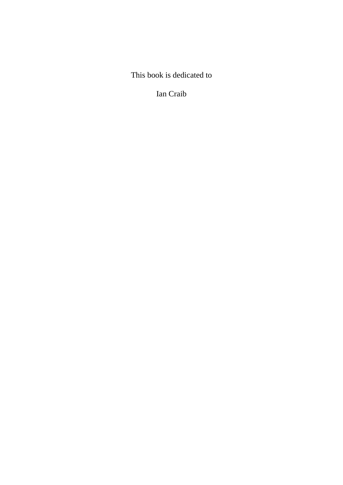This book is dedicated to

Ian Craib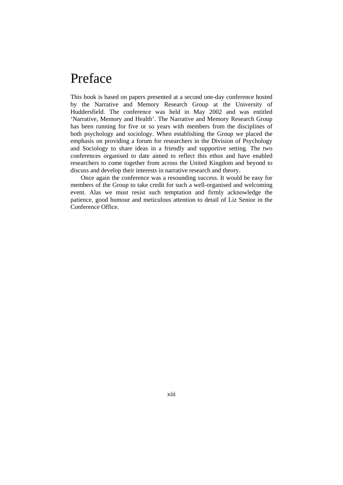# Preface

This book is based on papers presented at a second one-day conference hosted by the Narrative and Memory Research Group at the University of Huddersfield. The conference was held in May 2002 and was entitled 'Narrative, Memory and Health'. The Narrative and Memory Research Group has been running for five or so years with members from the disciplines of both psychology and sociology. When establishing the Group we placed the emphasis on providing a forum for researchers in the Division of Psychology and Sociology to share ideas in a friendly and supportive setting. The two conferences organised to date aimed to reflect this ethos and have enabled researchers to come together from across the United Kingdom and beyond to discuss and develop their interests in narrative research and theory.

 Once again the conference was a resounding success. It would be easy for members of the Group to take credit for such a well-organised and welcoming event. Alas we must resist such temptation and firmly acknowledge the patience, good humour and meticulous attention to detail of Liz Senior in the Conference Office.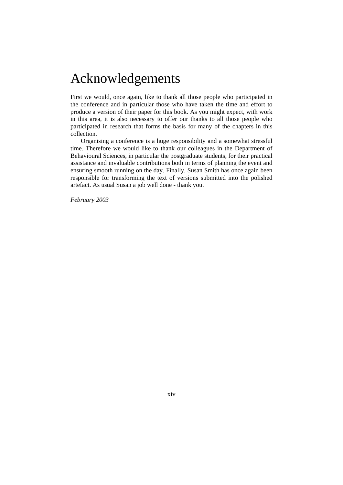# Acknowledgements

First we would, once again, like to thank all those people who participated in the conference and in particular those who have taken the time and effort to produce a version of their paper for this book. As you might expect, with work in this area, it is also necessary to offer our thanks to all those people who participated in research that forms the basis for many of the chapters in this collection.

 Organising a conference is a huge responsibility and a somewhat stressful time. Therefore we would like to thank our colleagues in the Department of Behavioural Sciences, in particular the postgraduate students, for their practical assistance and invaluable contributions both in terms of planning the event and ensuring smooth running on the day. Finally, Susan Smith has once again been responsible for transforming the text of versions submitted into the polished artefact. As usual Susan a job well done - thank you.

*February 2003*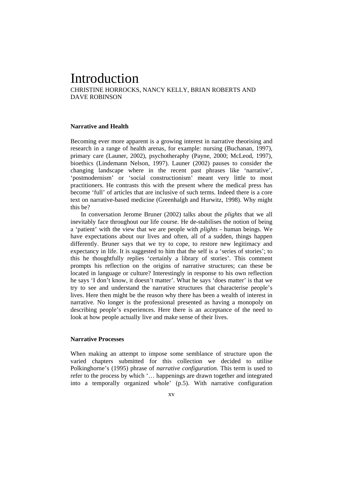## Introduction

CHRISTINE HORROCKS, NANCY KELLY, BRIAN ROBERTS AND DAVE ROBINSON

### **Narrative and Health**

Becoming ever more apparent is a growing interest in narrative theorising and research in a range of health arenas, for example: nursing (Buchanan, 1997), primary care (Launer, 2002), psychotheraphy (Payne, 2000; McLeod, 1997), bioethics (Lindemann Nelson, 1997). Launer (2002) pauses to consider the changing landscape where in the recent past phrases like 'narrative', 'postmodernism' or 'social constructionism' meant very little to most practitioners. He contrasts this with the present where the medical press has become 'full' of articles that are inclusive of such terms. Indeed there is a core text on narrative-based medicine (Greenhalgh and Hurwitz, 1998). Why might this be?

 In conversation Jerome Bruner (2002) talks about the *plights* that we all inevitably face throughout our life course. He de-stabilises the notion of being a 'patient' with the view that we are people with *plights* - human beings. We have expectations about our lives and often, all of a sudden, things happen differently. Bruner says that we try to cope, to restore new legitimacy and expectancy in life. It is suggested to him that the self is a 'series of stories'; to this he thoughtfully replies 'certainly a library of stories'. This comment prompts his reflection on the origins of narrative structures; can these be located in language or culture? Interestingly in response to his own reflection he says 'I don't know, it doesn't matter'. What he says 'does matter' is that we try to see and understand the narrative structures that characterise people's lives. Here then might be the reason why there has been a wealth of interest in narrative. No longer is the professional presented as having a monopoly on describing people's experiences. Here there is an acceptance of the need to look at how people actually live and make sense of their lives.

### **Narrative Processes**

When making an attempt to impose some semblance of structure upon the varied chapters submitted for this collection we decided to utilise Polkinghorne's (1995) phrase of *narrative configuration.* This term is used to refer to the process by which '… happenings are drawn together and integrated into a temporally organized whole' (p.5). With narrative configuration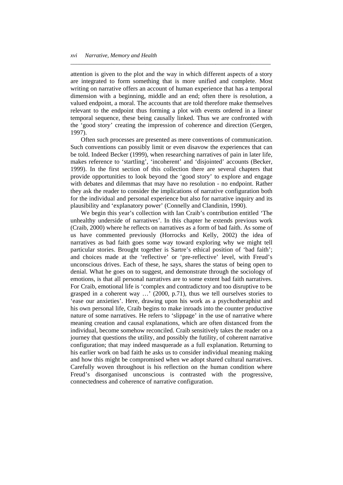attention is given to the plot and the way in which different aspects of a story are integrated to form something that is more unified and complete. Most writing on narrative offers an account of human experience that has a temporal dimension with a beginning, middle and an end; often there is resolution, a valued endpoint, a moral. The accounts that are told therefore make themselves relevant to the endpoint thus forming a plot with events ordered in a linear temporal sequence, these being causally linked. Thus we are confronted with the 'good story' creating the impression of coherence and direction (Gergen, 1997).

*\_\_\_\_\_\_\_\_\_\_\_\_\_\_\_\_\_\_\_\_\_\_\_\_\_\_\_\_\_\_\_\_\_\_\_\_\_\_\_\_\_\_\_\_\_\_\_\_\_\_\_\_\_\_\_\_\_\_\_\_\_\_\_\_\_\_\_\_\_* 

 Often such processes are presented as mere conventions of communication. Such conventions can possibly limit or even disavow the experiences that can be told. Indeed Becker (1999), when researching narratives of pain in later life, makes reference to 'startling', 'incoherent' and 'disjointed' accounts (Becker, 1999). In the first section of this collection there are several chapters that provide opportunities to look beyond the 'good story' to explore and engage with debates and dilemmas that may have no resolution - no endpoint. Rather they ask the reader to consider the implications of narrative configuration both for the individual and personal experience but also for narrative inquiry and its plausibility and 'explanatory power' (Connelly and Clandinin, 1990).

 We begin this year's collection with Ian Craib's contribution entitled 'The unhealthy underside of narratives'. In this chapter he extends previous work (Craib, 2000) where he reflects on narratives as a form of bad faith. As some of us have commented previously (Horrocks and Kelly, 2002) the idea of narratives as bad faith goes some way toward exploring why we might tell particular stories. Brought together is Sartre's ethical position of 'bad faith'; and choices made at the 'reflective' or 'pre-reflective' level, with Freud's unconscious drives. Each of these, he says, shares the status of being open to denial. What he goes on to suggest, and demonstrate through the sociology of emotions, is that all personal narratives are to some extent bad faith narratives. For Craib, emotional life is 'complex and contradictory and too disruptive to be grasped in a coherent way …' (2000, p.71), thus we tell ourselves stories to 'ease our anxieties'. Here, drawing upon his work as a psychotheraphist and his own personal life, Craib begins to make inroads into the counter productive nature of some narratives. He refers to 'slippage' in the use of narrative where meaning creation and causal explanations, which are often distanced from the individual, become somehow reconciled. Craib sensitively takes the reader on a journey that questions the utility, and possibly the futility, of coherent narrative configuration; that may indeed masquerade as a full explanation. Returning to his earlier work on bad faith he asks us to consider individual meaning making and how this might be compromised when we adopt shared cultural narratives. Carefully woven throughout is his reflection on the human condition where Freud's disorganised unconscious is contrasted with the progressive, connectedness and coherence of narrative configuration.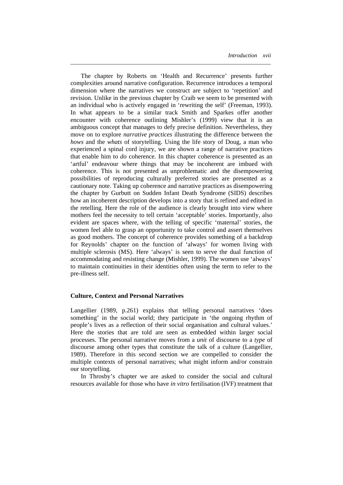The chapter by Roberts on 'Health and Recurrence' presents further complexities around narrative configuration. Recurrence introduces a temporal dimension where the narratives we construct are subject to 'repetition' and revision. Unlike in the previous chapter by Craib we seem to be presented with an individual who is actively engaged in 'rewriting the self' (Freeman, 1993). In what appears to be a similar track Smith and Sparkes offer another encounter with coherence outlining Mishler's (1999) view that it is an ambiguous concept that manages to defy precise definition. Nevertheless, they move on to explore *narrative practices* illustrating the difference between the *hows* and the *whats* of storytelling. Using the life story of Doug, a man who experienced a spinal cord injury, we are shown a range of narrative practices that enable him to *do* coherence. In this chapter coherence is presented as an 'artful' endeavour where things that may be incoherent are imbued with coherence. This is not presented as unproblematic and the disempowering possibilities of reproducing culturally preferred stories are presented as a cautionary note. Taking up coherence and narrative practices as disempowering the chapter by Gurbutt on Sudden Infant Death Syndrome (SIDS) describes how an incoherent description develops into a story that is refined and edited in the retelling. Here the role of the audience is clearly brought into view where mothers feel the necessity to tell certain 'acceptable' stories. Importantly, also evident are spaces where, with the telling of specific 'maternal' stories, the women feel able to grasp an opportunity to take control and assert themselves as good mothers. The concept of coherence provides something of a backdrop for Reynolds' chapter on the function of 'always' for women living with multiple sclerosis (MS). Here 'always' is seen to serve the dual function of accommodating and resisting change (Mishler, 1999). The women use 'always' to maintain continuities in their identities often using the term to refer to the pre-illness self.

*\_\_\_\_\_\_\_\_\_\_\_\_\_\_\_\_\_\_\_\_\_\_\_\_\_\_\_\_\_\_\_\_\_\_\_\_\_\_\_\_\_\_\_\_\_\_\_\_\_\_\_\_\_\_\_\_\_\_\_\_\_\_\_\_\_\_\_\_\_* 

### **Culture, Context and Personal Narratives**

Langellier (1989, p.261) explains that telling personal narratives 'does something' in the social world; they participate in 'the ongoing rhythm of people's lives as a reflection of their social organisation and cultural values.' Here the stories that are told are seen as embedded within larger social processes. The personal narrative moves from a *unit* of discourse to a *type* of discourse among other types that constitute the talk of a culture (Langellier, 1989). Therefore in this second section we are compelled to consider the multiple contexts of personal narratives; what might inform and/or constrain our storytelling.

 In Throsby's chapter we are asked to consider the social and cultural resources available for those who have *in vitro* fertilisation (IVF) treatment that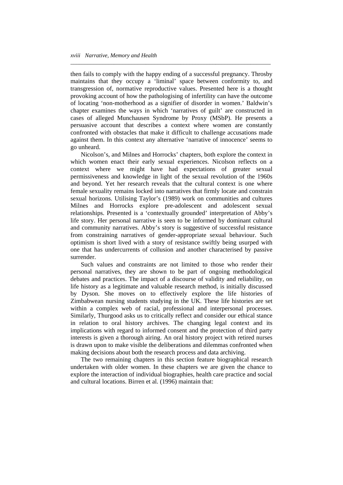then fails to comply with the happy ending of a successful pregnancy. Throsby maintains that they occupy a 'liminal' space between conformity to, and transgression of, normative reproductive values. Presented here is a thought provoking account of how the pathologising of infertility can have the outcome of locating 'non-motherhood as a signifier of disorder in women.' Baldwin's chapter examines the ways in which 'narratives of guilt' are constructed in cases of alleged Munchausen Syndrome by Proxy (MSbP). He presents a persuasive account that describes a context where women are constantly confronted with obstacles that make it difficult to challenge accusations made against them. In this context any alternative 'narrative of innocence' seems to go unheard.

*\_\_\_\_\_\_\_\_\_\_\_\_\_\_\_\_\_\_\_\_\_\_\_\_\_\_\_\_\_\_\_\_\_\_\_\_\_\_\_\_\_\_\_\_\_\_\_\_\_\_\_\_\_\_\_\_\_\_\_\_\_\_\_\_\_\_\_\_\_* 

 Nicolson's, and Milnes and Horrocks' chapters, both explore the context in which women enact their early sexual experiences. Nicolson reflects on a context where we might have had expectations of greater sexual permissiveness and knowledge in light of the sexual revolution of the 1960s and beyond. Yet her research reveals that the cultural context is one where female sexuality remains locked into narratives that firmly locate and constrain sexual horizons. Utilising Taylor's (1989) work on communities and cultures Milnes and Horrocks explore pre-adolescent and adolescent sexual relationships. Presented is a 'contextually grounded' interpretation of Abby's life story. Her personal narrative is seen to be informed by dominant cultural and community narratives. Abby's story is suggestive of successful resistance from constraining narratives of gender-appropriate sexual behaviour. Such optimism is short lived with a story of resistance swiftly being usurped with one that has undercurrents of collusion and another characterised by passive surrender.

 Such values and constraints are not limited to those who render their personal narratives, they are shown to be part of ongoing methodological debates and practices. The impact of a discourse of validity and reliability, on life history as a legitimate and valuable research method, is initially discussed by Dyson. She moves on to effectively explore the life histories of Zimbabwean nursing students studying in the UK. These life histories are set within a complex web of racial, professional and interpersonal processes. Similarly, Thurgood asks us to critically reflect and consider our ethical stance in relation to oral history archives. The changing legal context and its implications with regard to informed consent and the protection of third party interests is given a thorough airing. An oral history project with retired nurses is drawn upon to make visible the deliberations and dilemmas confronted when making decisions about both the research process and data archiving.

 The two remaining chapters in this section feature biographical research undertaken with older women. In these chapters we are given the chance to explore the interaction of individual biographies, health care practice and social and cultural locations. Birren et al. (1996) maintain that: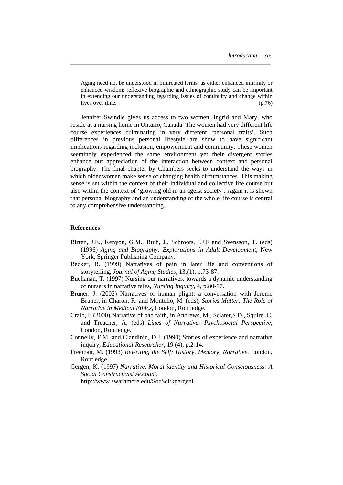Aging need not be understood in bifurcated terms, as either enhanced infirmity or enhanced wisdom; reflexive biographic and ethnographic study can be important in extending our understanding regarding issues of continuity and change within lives over time. (p.76)

*\_\_\_\_\_\_\_\_\_\_\_\_\_\_\_\_\_\_\_\_\_\_\_\_\_\_\_\_\_\_\_\_\_\_\_\_\_\_\_\_\_\_\_\_\_\_\_\_\_\_\_\_\_\_\_\_\_\_\_\_\_\_\_\_\_\_\_\_\_* 

 Jennifer Swindle gives us access to two women, Ingrid and Mary, who reside at a nursing home in Ontario, Canada. The women had very different life course experiences culminating in very different 'personal traits'. Such differences in previous personal lifestyle are show to have significant implications regarding inclusion, empowerment and community. These women seemingly experienced the same environment yet their divergent stories enhance our appreciation of the interaction between context and personal biography. The final chapter by Chambers seeks to understand the ways in which older women make sense of changing health circumstances. This making sense is set within the context of their individual and collective life course but also within the context of 'growing old in an ageist society'. Again it is shown that personal biography and an understanding of the whole life course is central to any comprehensive understanding.

#### **References**

- Birren, J.E., Kenyon, G.M., Rtuh, J., Schroots, J.J.F and Svensson, T. (eds) (1996) *Aging and Biography: Explorations in Adult Development*, New York, Springer Publishing Company.
- Becker, B. (1999) Narratives of pain in later life and conventions of storytelling, *Journal of Aging Studies,* 13,(1), p.73-87.
- Buchanan, T. (1997) Nursing our narratives: towards a dynamic understanding of nursers in narrative tales, *Nursing Inquiry,* 4, p.80-87.
- Bruner, J. (2002) Narratives of human plight: a conversation with Jerome Bruner, in Charon, R. and Montello, M. (eds), *Stories Matter: The Role of Narrative in Medical Ethics*, London, Routledge.
- Craib, I. (2000) Narrative of bad faith, in Andrews, M., Sclater,S.D., Squire. C. and Treacher, A. (eds) *Lines of Narrative: Psychosocial Perspective*, London, Routledge.
- Connelly, F.M. and Clandinin, D.J. (1990) Stories of experience and narrative inquiry, *Educational Researcher,* 19 (4), p.2-14.
- Freeman, M. (1993) *Rewriting the Self: History, Memory, Narrative*, London, Routledge.
- Gergen, K. (1997) *Narrative, Moral identity and Historical Consciousness: A Social Constructivist Account*,

http://www.swarhmore.edu/SocSci/kgergenl*.*